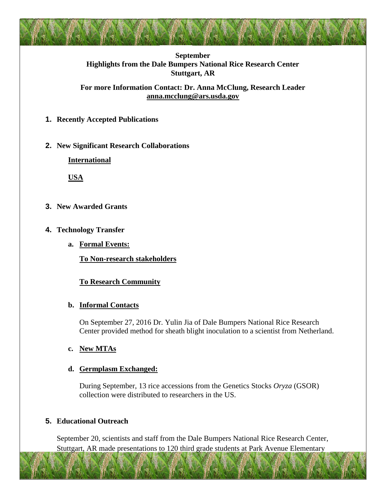

### **September Highlights from the Dale Bumpers National Rice Research Center Stuttgart, AR**

**For more Information Contact: Dr. Anna McClung, Research Leader [anna.mcclung@ars.usda.gov](mailto:anna.mcclung@ars.usda.gov)**

**1. Recently Accepted Publications**

# **2. New Significant Research Collaborations**

**International**

**USA**

- **3. New Awarded Grants**
- **4. Technology Transfer**
	- **a. Formal Events:**

**To Non-research stakeholders**

# **To Research Community**

# **b. Informal Contacts**

On September 27, 2016 Dr. Yulin Jia of Dale Bumpers National Rice Research Center provided method for sheath blight inoculation to a scientist from Netherland.

# **c. New MTAs**

# **d. Germplasm Exchanged:**

During September, 13 rice accessions from the Genetics Stocks *Oryza* (GSOR) collection were distributed to researchers in the US.

# **5. Educational Outreach**

September 20, scientists and staff from the Dale Bumpers National Rice Research Center, Stuttgart, AR made presentations to 120 third grade students at Park Avenue Elementary